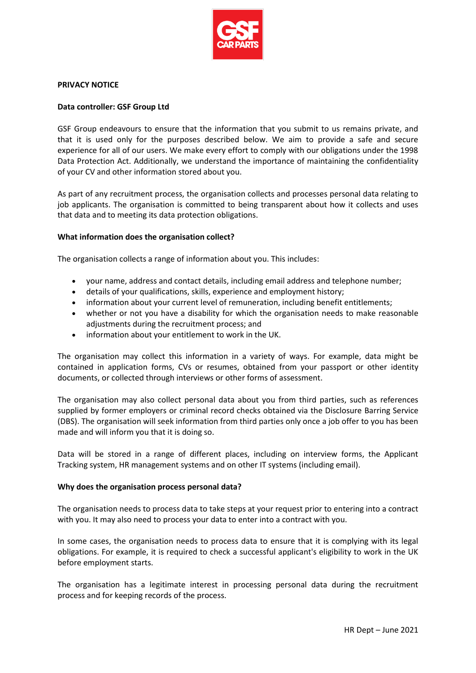

### **PRIVACY NOTICE**

## **Data controller: GSF Group Ltd**

GSF Group endeavours to ensure that the information that you submit to us remains private, and that it is used only for the purposes described below. We aim to provide a safe and secure experience for all of our users. We make every effort to comply with our obligations under the 1998 Data Protection Act. Additionally, we understand the importance of maintaining the confidentiality of your CV and other information stored about you.

As part of any recruitment process, the organisation collects and processes personal data relating to job applicants. The organisation is committed to being transparent about how it collects and uses that data and to meeting its data protection obligations.

### **What information does the organisation collect?**

The organisation collects a range of information about you. This includes:

- your name, address and contact details, including email address and telephone number;
- details of your qualifications, skills, experience and employment history;
- information about your current level of remuneration, including benefit entitlements;
- whether or not you have a disability for which the organisation needs to make reasonable adjustments during the recruitment process; and
- information about your entitlement to work in the UK.

The organisation may collect this information in a variety of ways. For example, data might be contained in application forms, CVs or resumes, obtained from your passport or other identity documents, or collected through interviews or other forms of assessment.

The organisation may also collect personal data about you from third parties, such as references supplied by former employers or criminal record checks obtained via the Disclosure Barring Service (DBS). The organisation will seek information from third parties only once a job offer to you has been made and will inform you that it is doing so.

Data will be stored in a range of different places, including on interview forms, the Applicant Tracking system, HR management systems and on other IT systems (including email).

# **Why does the organisation process personal data?**

The organisation needs to process data to take steps at your request prior to entering into a contract with you. It may also need to process your data to enter into a contract with you.

In some cases, the organisation needs to process data to ensure that it is complying with its legal obligations. For example, it is required to check a successful applicant's eligibility to work in the UK before employment starts.

The organisation has a legitimate interest in processing personal data during the recruitment process and for keeping records of the process.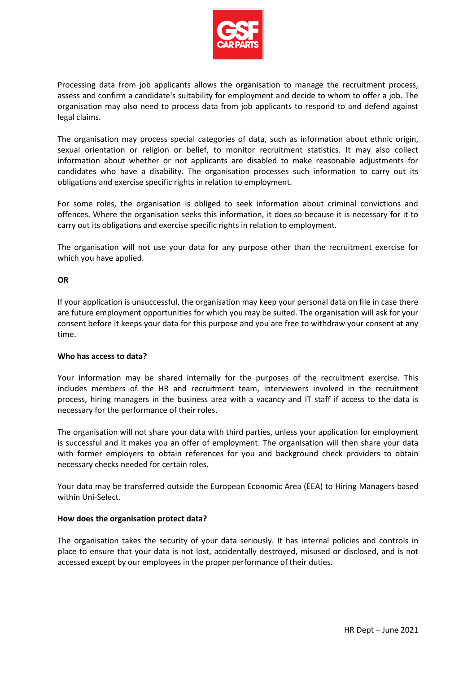

Processing data from job applicants allows the organisation to manage the recruitment process, assess and confirm a candidate's suitability for employment and decide to whom to offer a job. The organisation may also need to process data from job applicants to respond to and defend against legal claims.

The organisation may process special categories of data, such as information about ethnic origin, sexual orientation or religion or belief, to monitor recruitment statistics. It may also collect information about whether or not applicants are disabled to make reasonable adjustments for candidates who have a disability. The organisation processes such information to carry out its obligations and exercise specific rights in relation to employment.

For some roles, the organisation is obliged to seek information about criminal convictions and offences. Where the organisation seeks this information, it does so because it is necessary for it to carry out its obligations and exercise specific rights in relation to employment.

The organisation will not use your data for any purpose other than the recruitment exercise for which you have applied.

# **OR**

If your application is unsuccessful, the organisation may keep your personal data on file in case there are future employment opportunities for which you may be suited. The organisation will ask for your consent before it keeps your data for this purpose and you are free to withdraw your consent at any time.

# **Who has access to data?**

Your information may be shared internally for the purposes of the recruitment exercise. This includes members of the HR and recruitment team, interviewers involved in the recruitment process, hiring managers in the business area with a vacancy and IT staff if access to the data is necessary for the performance of their roles.

The organisation will not share your data with third parties, unless your application for employment is successful and it makes you an offer of employment. The organisation will then share your data with former employers to obtain references for you and background check providers to obtain necessary checks needed for certain roles.

Your data may be transferred outside the European Economic Area (EEA) to Hiring Managers based within Uni-Select.

# **How does the organisation protect data?**

The organisation takes the security of your data seriously. It has internal policies and controls in place to ensure that your data is not lost, accidentally destroyed, misused or disclosed, and is not accessed except by our employees in the proper performance of their duties.